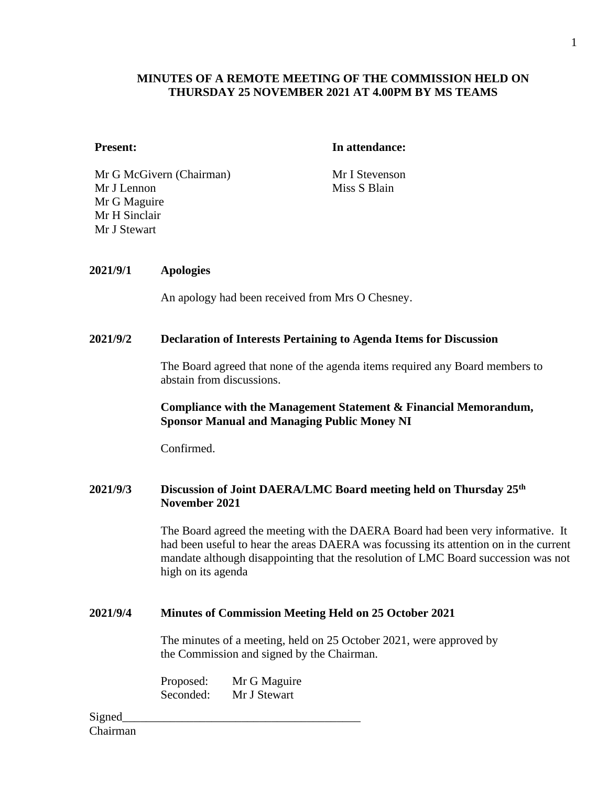## **MINUTES OF A REMOTE MEETING OF THE COMMISSION HELD ON THURSDAY 25 NOVEMBER 2021 AT 4.00PM BY MS TEAMS**

#### **Present: In attendance:**

Mr G McGivern (Chairman) Mr I Stevenson Mr J Lennon Mr G Maguire Mr H Sinclair Mr J Stewart

Miss S Blain

#### **2021/9/1 Apologies**

An apology had been received from Mrs O Chesney.

#### **2021/9/2 Declaration of Interests Pertaining to Agenda Items for Discussion**

The Board agreed that none of the agenda items required any Board members to abstain from discussions.

#### **Compliance with the Management Statement & Financial Memorandum, Sponsor Manual and Managing Public Money NI**

Confirmed.

#### **2021/9/3 Discussion of Joint DAERA/LMC Board meeting held on Thursday 25th November 2021**

The Board agreed the meeting with the DAERA Board had been very informative. It had been useful to hear the areas DAERA was focussing its attention on in the current mandate although disappointing that the resolution of LMC Board succession was not high on its agenda

#### **2021/9/4 Minutes of Commission Meeting Held on 25 October 2021**

The minutes of a meeting, held on 25 October 2021, were approved by the Commission and signed by the Chairman.

Proposed: Mr G Maguire Seconded: Mr J Stewart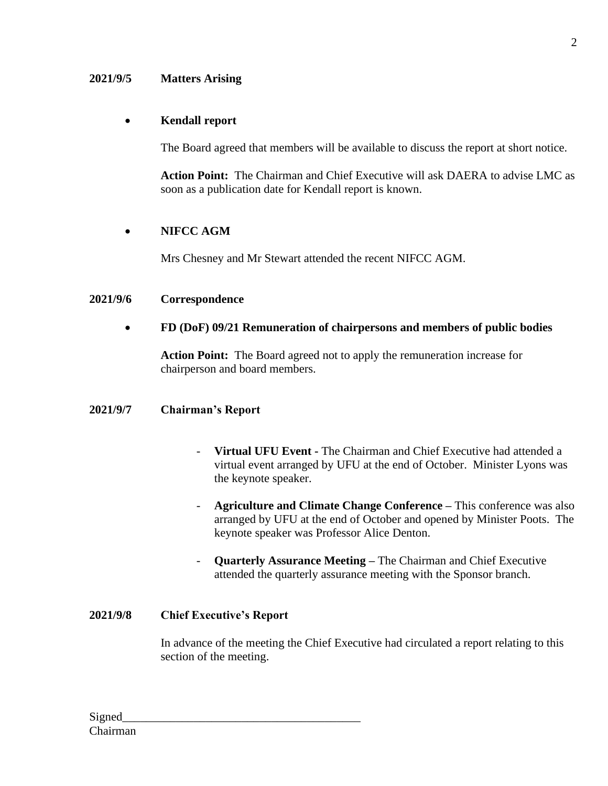### **2021/9/5 Matters Arising**

## • **Kendall report**

The Board agreed that members will be available to discuss the report at short notice.

**Action Point:** The Chairman and Chief Executive will ask DAERA to advise LMC as soon as a publication date for Kendall report is known.

## • **NIFCC AGM**

Mrs Chesney and Mr Stewart attended the recent NIFCC AGM.

#### **2021/9/6 Correspondence**

## • **FD (DoF) 09/21 Remuneration of chairpersons and members of public bodies**

**Action Point:** The Board agreed not to apply the remuneration increase for chairperson and board members.

## **2021/9/7 Chairman's Report**

- **Virtual UFU Event -** The Chairman and Chief Executive had attended a virtual event arranged by UFU at the end of October. Minister Lyons was the keynote speaker.
- **Agriculture and Climate Change Conference –** This conference was also arranged by UFU at the end of October and opened by Minister Poots. The keynote speaker was Professor Alice Denton.
- **Quarterly Assurance Meeting –** The Chairman and Chief Executive attended the quarterly assurance meeting with the Sponsor branch.

#### **2021/9/8 Chief Executive's Report**

In advance of the meeting the Chief Executive had circulated a report relating to this section of the meeting.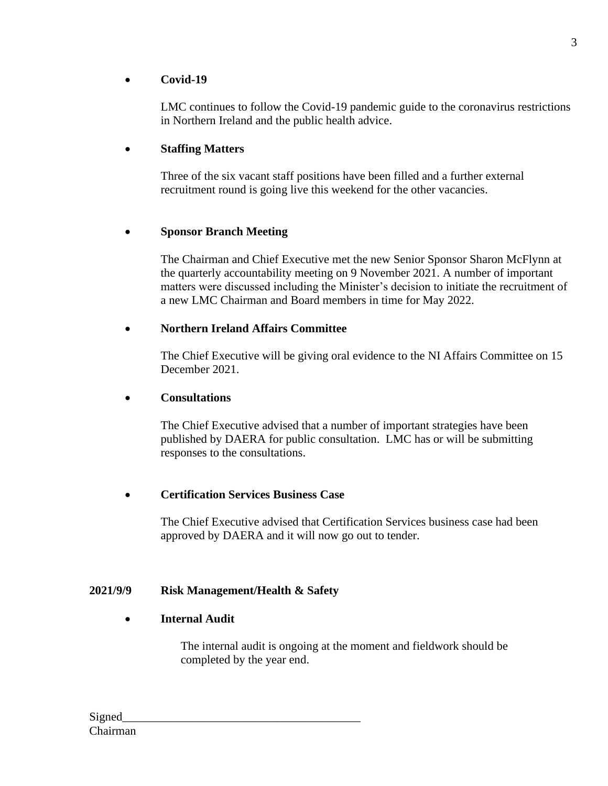# • **Covid-19**

LMC continues to follow the Covid-19 pandemic guide to the coronavirus restrictions in Northern Ireland and the public health advice.

# • **Staffing Matters**

Three of the six vacant staff positions have been filled and a further external recruitment round is going live this weekend for the other vacancies.

# • **Sponsor Branch Meeting**

The Chairman and Chief Executive met the new Senior Sponsor Sharon McFlynn at the quarterly accountability meeting on 9 November 2021. A number of important matters were discussed including the Minister's decision to initiate the recruitment of a new LMC Chairman and Board members in time for May 2022.

## • **Northern Ireland Affairs Committee**

The Chief Executive will be giving oral evidence to the NI Affairs Committee on 15 December 2021.

## • **Consultations**

The Chief Executive advised that a number of important strategies have been published by DAERA for public consultation. LMC has or will be submitting responses to the consultations.

## • **Certification Services Business Case**

The Chief Executive advised that Certification Services business case had been approved by DAERA and it will now go out to tender.

## **2021/9/9 Risk Management/Health & Safety**

## • **Internal Audit**

The internal audit is ongoing at the moment and fieldwork should be completed by the year end.